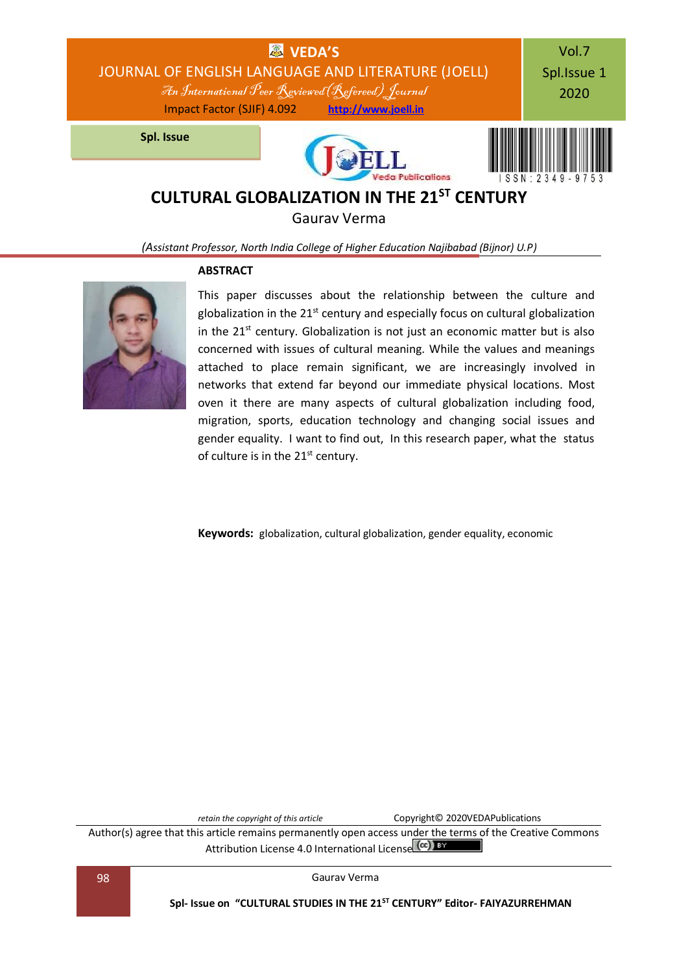

Gaurav Verma

*(Assistant Professor, North India College of Higher Education Najibabad (Bijnor) U.P)*

### **ABSTRACT**



This paper discusses about the relationship between the culture and globalization in the  $21<sup>st</sup>$  century and especially focus on cultural globalization in the  $21<sup>st</sup>$  century. Globalization is not just an economic matter but is also concerned with issues of cultural meaning. While the values and meanings attached to place remain significant, we are increasingly involved in networks that extend far beyond our immediate physical locations. Most oven it there are many aspects of cultural globalization including food, migration, sports, education technology and changing social issues and gender equality. I want to find out, In this research paper, what the status of culture is in the 21<sup>st</sup> century.

**Keywords:** globalization, cultural globalization, gender equality, economic

*retain the copyright of this article* **CODVIGHT** CODVIGHT<sup>O</sup> 2020VEDAPublications

Author(s) agree that this article remains permanently open access under the terms of the Creative Commons Attribution Lic[e](http://creativecommons.org/licenses/by/4.0/)nse 4.0 International License (cc) BY

98 Gaurav Verma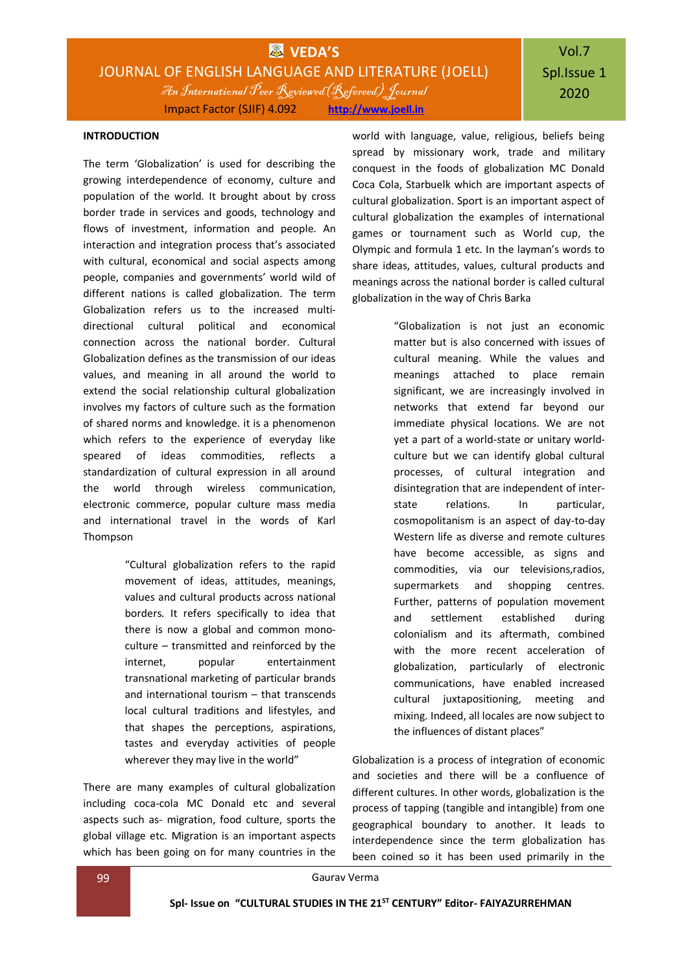# Vol.7 Spl.Issue 1 2020

### **INTRODUCTION**

The term 'Globalization' is used for describing the growing interdependence of economy, culture and population of the world. It brought about by cross border trade in services and goods, technology and flows of investment, information and people. An interaction and integration process that's associated with cultural, economical and social aspects among people, companies and governments' world wild of different nations is called globalization. The term Globalization refers us to the increased multidirectional cultural political and economical connection across the national border. Cultural Globalization defines as the transmission of our ideas values, and meaning in all around the world to extend the social relationship cultural globalization involves my factors of culture such as the formation of shared norms and knowledge. it is a phenomenon which refers to the experience of everyday like speared of ideas commodities, reflects a standardization of cultural expression in all around the world through wireless communication, electronic commerce, popular culture mass media and international travel in the words of Karl Thompson

> "Cultural globalization refers to the rapid movement of ideas, attitudes, meanings, values and cultural products across national borders. It refers specifically to idea that there is now a global and common monoculture – transmitted and reinforced by the internet, popular entertainment transnational marketing of particular brands and international tourism – that transcends local cultural traditions and lifestyles, and that shapes the perceptions, aspirations, tastes and everyday activities of people wherever they may live in the world"

There are many examples of cultural globalization including coca-cola MC Donald etc and several aspects such as- migration, food culture, sports the global village etc. Migration is an important aspects which has been going on for many countries in the

world with language, value, religious, beliefs being spread by missionary work, trade and military conquest in the foods of globalization MC Donald Coca Cola, Starbuelk which are important aspects of cultural globalization. Sport is an important aspect of cultural globalization the examples of international games or tournament such as World cup, the Olympic and formula 1 etc. In the layman's words to share ideas, attitudes, values, cultural products and meanings across the national border is called cultural globalization in the way of Chris Barka

> "Globalization is not just an economic matter but is also concerned with issues of cultural meaning. While the values and meanings attached to place remain significant, we are increasingly involved in networks that extend far beyond our immediate physical locations. We are not yet a part of a world-state or unitary worldculture but we can identify global cultural processes, of cultural integration and disintegration that are independent of interstate relations. In particular, cosmopolitanism is an aspect of day-to-day Western life as diverse and remote cultures have become accessible, as signs and commodities, via our televisions,radios, supermarkets and shopping centres. Further, patterns of population movement and settlement established during colonialism and its aftermath, combined with the more recent acceleration of globalization, particularly of electronic communications, have enabled increased cultural juxtapositioning, meeting and mixing. Indeed, all locales are now subject to the influences of distant places"

Globalization is a process of integration of economic and societies and there will be a confluence of different cultures. In other words, globalization is the process of tapping (tangible and intangible) from one geographical boundary to another. It leads to interdependence since the term globalization has been coined so it has been used primarily in the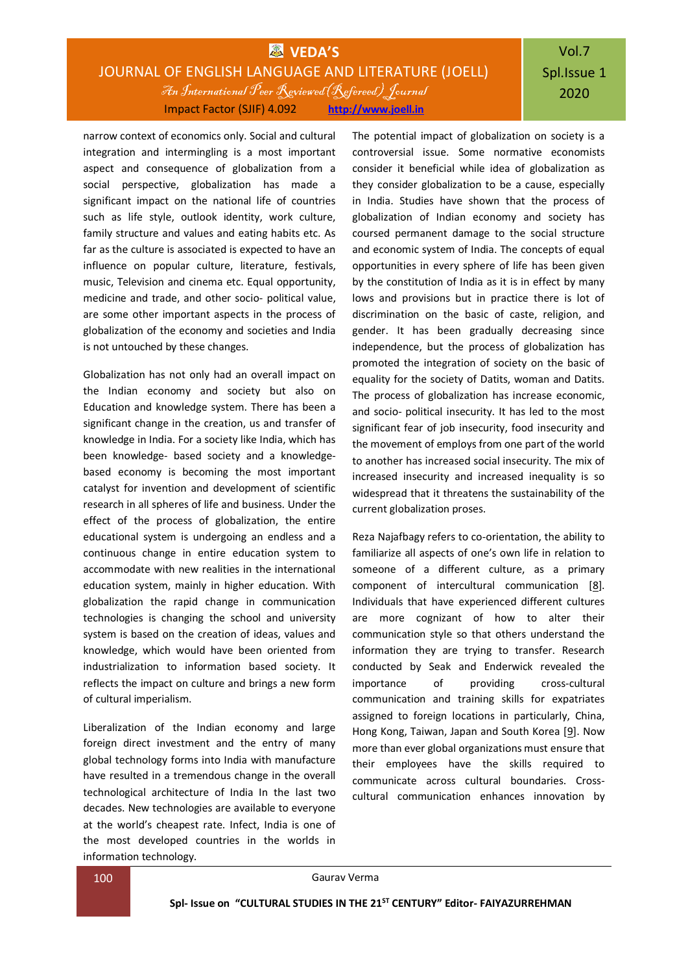### **WEDA'S** JOURNAL OF ENGLISH LANGUAGE AND LITERATURE (JOELL) An International Peer Reviewed(Refereed) Journal Impact Factor (SJIF) 4.092 **[http://www.joell.in](http://www.joell.in/)**

## Vol.7 Spl.Issue 1 2020

narrow context of economics only. Social and cultural integration and intermingling is a most important aspect and consequence of globalization from a social perspective, globalization has made a significant impact on the national life of countries such as life style, outlook identity, work culture, family structure and values and eating habits etc. As far as the culture is associated is expected to have an influence on popular culture, literature, festivals, music, Television and cinema etc. Equal opportunity, medicine and trade, and other socio- political value, are some other important aspects in the process of globalization of the economy and societies and India is not untouched by these changes.

Globalization has not only had an overall impact on the Indian economy and society but also on Education and knowledge system. There has been a significant change in the creation, us and transfer of knowledge in India. For a society like India, which has been knowledge- based society and a knowledgebased economy is becoming the most important catalyst for invention and development of scientific research in all spheres of life and business. Under the effect of the process of globalization, the entire educational system is undergoing an endless and a continuous change in entire education system to accommodate with new realities in the international education system, mainly in higher education. With globalization the rapid change in communication technologies is changing the school and university system is based on the creation of ideas, values and knowledge, which would have been oriented from industrialization to information based society. It reflects the impact on culture and brings a new form of cultural imperialism.

Liberalization of the Indian economy and large foreign direct investment and the entry of many global technology forms into India with manufacture have resulted in a tremendous change in the overall technological architecture of India In the last two decades. New technologies are available to everyone at the world's cheapest rate. Infect, India is one of the most developed countries in the worlds in information technology.

The potential impact of globalization on society is a controversial issue. Some normative economists consider it beneficial while idea of globalization as they consider globalization to be a cause, especially in India. Studies have shown that the process of globalization of Indian economy and society has coursed permanent damage to the social structure and economic system of India. The concepts of equal opportunities in every sphere of life has been given by the constitution of India as it is in effect by many lows and provisions but in practice there is lot of discrimination on the basic of caste, religion, and gender. It has been gradually decreasing since independence, but the process of globalization has promoted the integration of society on the basic of equality for the society of Datits, woman and Datits. The process of globalization has increase economic, and socio- political insecurity. It has led to the most significant fear of job insecurity, food insecurity and the movement of employs from one part of the world to another has increased social insecurity. The mix of increased insecurity and increased inequality is so widespread that it threatens the sustainability of the current globalization proses.

Reza Najafbagy refers to co-orientation, the ability to familiarize all aspects of one's own life in relation to someone of a different culture, as a primary component of intercultural communication [\[8\]](https://www.intechopen.com/books/globalization-education-and-management-agendas/the-impact-of-globalization-on-cross-cultural-communication#B8). Individuals that have experienced different cultures are more cognizant of how to alter their communication style so that others understand the information they are trying to transfer. Research conducted by Seak and Enderwick revealed the importance of providing cross-cultural communication and training skills for expatriates assigned to foreign locations in particularly, China, Hong Kong, Taiwan, Japan and South Korea [\[9\]](https://www.intechopen.com/books/globalization-education-and-management-agendas/the-impact-of-globalization-on-cross-cultural-communication#B9). Now more than ever global organizations must ensure that their employees have the skills required to communicate across cultural boundaries. Crosscultural communication enhances innovation by

100 Gaurav Verma